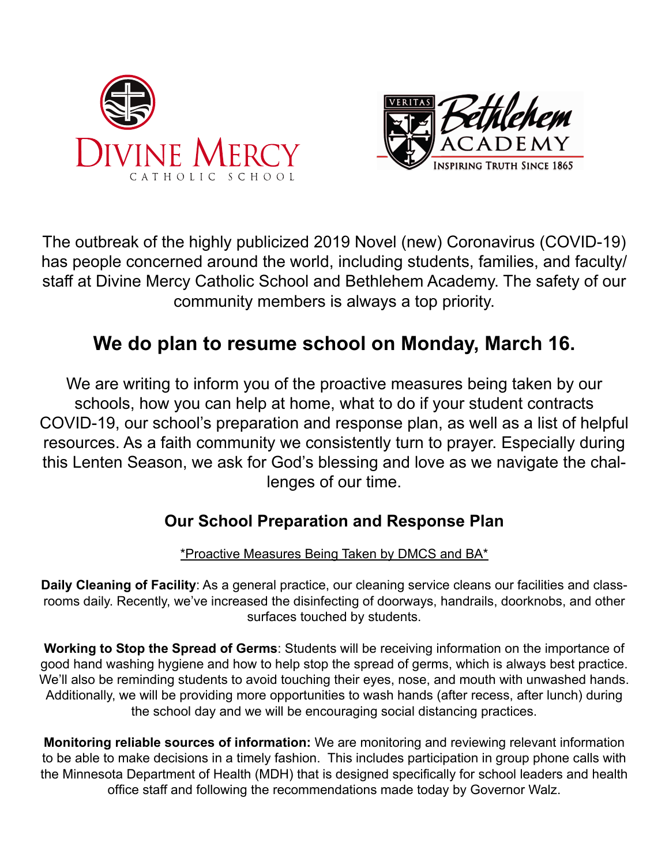



The outbreak of the highly publicized 2019 Novel (new) Coronavirus (COVID-19) has people concerned around the world, including students, families, and faculty/ staff at Divine Mercy Catholic School and Bethlehem Academy. The safety of our community members is always a top priority.

# **We do plan to resume school on Monday, March 16.**

We are writing to inform you of the proactive measures being taken by our schools, how you can help at home, what to do if your student contracts COVID-19, our school's preparation and response plan, as well as a list of helpful resources. As a faith community we consistently turn to prayer. Especially during this Lenten Season, we ask for God's blessing and love as we navigate the challenges of our time.

# **Our School Preparation and Response Plan**

\*Proactive Measures Being Taken by DMCS and BA\*

**Daily Cleaning of Facility**: As a general practice, our cleaning service cleans our facilities and classrooms daily. Recently, we've increased the disinfecting of doorways, handrails, doorknobs, and other surfaces touched by students.

**Working to Stop the Spread of Germs**: Students will be receiving information on the importance of good hand washing hygiene and how to help stop the spread of germs, which is always best practice. We'll also be reminding students to avoid touching their eyes, nose, and mouth with unwashed hands. Additionally, we will be providing more opportunities to wash hands (after recess, after lunch) during the school day and we will be encouraging social distancing practices.

**Monitoring reliable sources of information:** We are monitoring and reviewing relevant information to be able to make decisions in a timely fashion. This includes participation in group phone calls with the Minnesota Department of Health (MDH) that is designed specifically for school leaders and health office staff and following the recommendations made today by Governor Walz.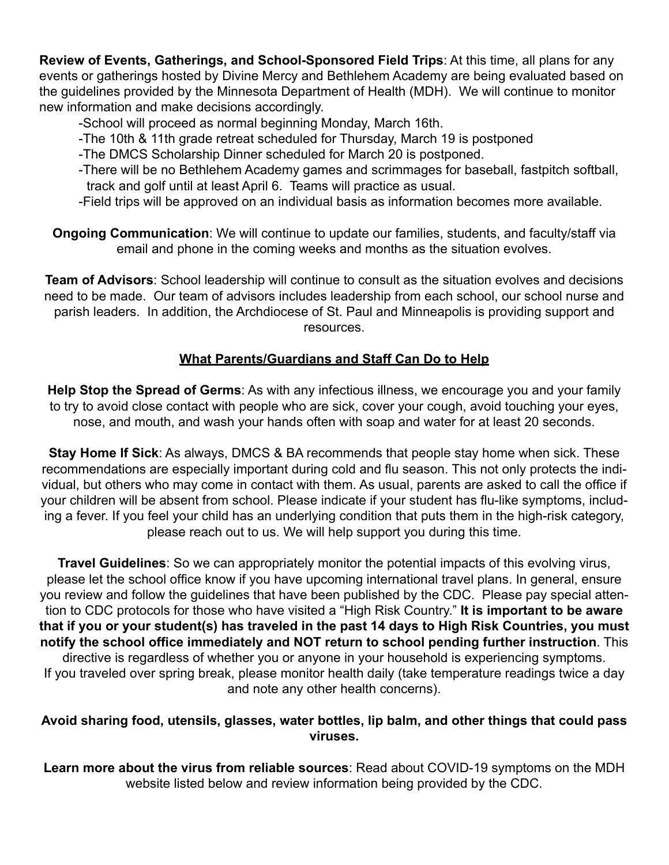**Review of Events, Gatherings, and School-Sponsored Field Trips**: At this time, all plans for any events or gatherings hosted by Divine Mercy and Bethlehem Academy are being evaluated based on the guidelines provided by the Minnesota Department of Health (MDH). We will continue to monitor new information and make decisions accordingly.

-School will proceed as normal beginning Monday, March 16th.

- -The 10th & 11th grade retreat scheduled for Thursday, March 19 is postponed
- -The DMCS Scholarship Dinner scheduled for March 20 is postponed.
- -There will be no Bethlehem Academy games and scrimmages for baseball, fastpitch softball, track and golf until at least April 6. Teams will practice as usual.
- -Field trips will be approved on an individual basis as information becomes more available.

**Ongoing Communication**: We will continue to update our families, students, and faculty/staff via email and phone in the coming weeks and months as the situation evolves.

**Team of Advisors**: School leadership will continue to consult as the situation evolves and decisions need to be made. Our team of advisors includes leadership from each school, our school nurse and parish leaders. In addition, the Archdiocese of St. Paul and Minneapolis is providing support and resources.

## **What Parents/Guardians and Staff Can Do to Help**

**Help Stop the Spread of Germs**: As with any infectious illness, we encourage you and your family to try to avoid close contact with people who are sick, cover your cough, avoid touching your eyes, nose, and mouth, and wash your hands often with soap and water for at least 20 seconds.

**Stay Home If Sick**: As always, DMCS & BA recommends that people stay home when sick. These recommendations are especially important during cold and flu season. This not only protects the individual, but others who may come in contact with them. As usual, parents are asked to call the office if your children will be absent from school. Please indicate if your student has flu-like symptoms, including a fever. If you feel your child has an underlying condition that puts them in the high-risk category, please reach out to us. We will help support you during this time.

**Travel Guidelines**: So we can appropriately monitor the potential impacts of this evolving virus, please let the school office know if you have upcoming international travel plans. In general, ensure you review and follow the guidelines that have been published by the CDC. Please pay special attention to CDC protocols for those who have visited a "High Risk Country." **It is important to be aware that if you or your student(s) has traveled in the past 14 days to High Risk Countries, you must notify the school office immediately and NOT return to school pending further instruction**. This directive is regardless of whether you or anyone in your household is experiencing symptoms. If you traveled over spring break, please monitor health daily (take temperature readings twice a day and note any other health concerns).

#### **Avoid sharing food, utensils, glasses, water bottles, lip balm, and other things that could pass viruses.**

**Learn more about the virus from reliable sources**: Read about COVID-19 symptoms on the MDH website listed below and review information being provided by the CDC.